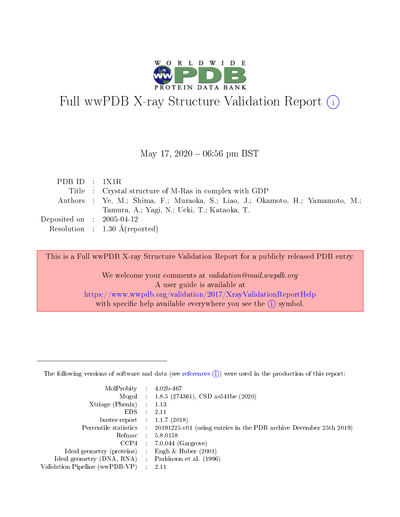

# Full wwPDB X-ray Structure Validation Report (i)

#### May 17,  $2020 - 06:56$  pm BST

| PDB ID : $1X1R$                     |                                                                                |
|-------------------------------------|--------------------------------------------------------------------------------|
|                                     | Title : Crystal structure of M-Ras in complex with GDP                         |
|                                     | Authors : Ye, M.; Shima, F.; Muraoka, S.; Liao, J.; Okamoto, H.; Yamamoto, M.; |
|                                     | Tamura, A.; Yagi, N.; Ueki, T.; Kataoka, T.                                    |
| Deposited on $\,$ : 2005-04-12 $\,$ |                                                                                |
|                                     | Resolution : $1.30 \text{ Å}$ (reported)                                       |

This is a Full wwPDB X-ray Structure Validation Report for a publicly released PDB entry.

We welcome your comments at validation@mail.wwpdb.org A user guide is available at <https://www.wwpdb.org/validation/2017/XrayValidationReportHelp> with specific help available everywhere you see the  $(i)$  symbol.

The following versions of software and data (see [references](https://www.wwpdb.org/validation/2017/XrayValidationReportHelp#references)  $(1)$ ) were used in the production of this report:

| MolProbity :                   |               | $4.02b - 467$                                                               |
|--------------------------------|---------------|-----------------------------------------------------------------------------|
|                                |               | Mogul : $1.8.5$ (274361), CSD as 541be (2020)                               |
| Xtriage (Phenix)               | $\mathcal{L}$ | 1.13                                                                        |
| EDS.                           |               | 2.11                                                                        |
| buster-report : $1.1.7$ (2018) |               |                                                                             |
| Percentile statistics :        |               | $20191225 \text{v}01$ (using entries in the PDB archive December 25th 2019) |
| Refmac :                       |               | 5.8.0158                                                                    |
| CCP4                           |               | $7.0.044$ (Gargrove)                                                        |
| Ideal geometry (proteins) :    |               | Engh $\&$ Huber (2001)                                                      |
| Ideal geometry (DNA, RNA) :    |               | Parkinson et al. (1996)                                                     |
| Validation Pipeline (wwPDB-VP) | $\mathcal{L}$ | 2.11                                                                        |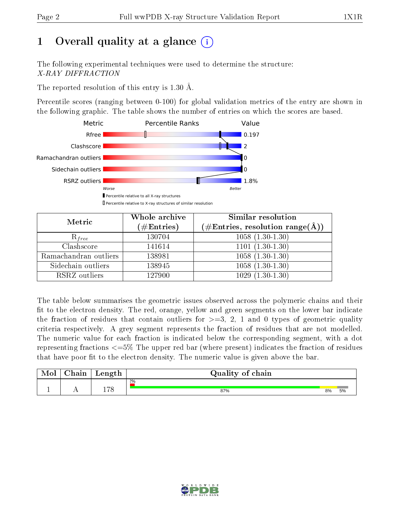# 1 [O](https://www.wwpdb.org/validation/2017/XrayValidationReportHelp#overall_quality)verall quality at a glance  $(i)$

The following experimental techniques were used to determine the structure: X-RAY DIFFRACTION

The reported resolution of this entry is 1.30 Å.

Percentile scores (ranging between 0-100) for global validation metrics of the entry are shown in the following graphic. The table shows the number of entries on which the scores are based.



| Metric                | Whole archive<br>$(\#\mathrm{Entries})$ | Similar resolution<br>$(\#\text{Entries}, \text{resolution range}(\textup{\AA}))$ |
|-----------------------|-----------------------------------------|-----------------------------------------------------------------------------------|
| $R_{free}$            | 130704                                  | $1058(1.30-1.30)$                                                                 |
| Clashscore            | 141614                                  | $1101(1.30-1.30)$                                                                 |
| Ramachandran outliers | 138981                                  | $1058(1.30-1.30)$                                                                 |
| Sidechain outliers    | 138945                                  | $1058(1.30-1.30)$                                                                 |
| RSRZ outliers         | 127900                                  | $1029(1.30-1.30)$                                                                 |

The table below summarises the geometric issues observed across the polymeric chains and their fit to the electron density. The red, orange, yellow and green segments on the lower bar indicate the fraction of residues that contain outliers for  $>=3, 2, 1$  and 0 types of geometric quality criteria respectively. A grey segment represents the fraction of residues that are not modelled. The numeric value for each fraction is indicated below the corresponding segment, with a dot representing fractions  $\epsilon=5\%$  The upper red bar (where present) indicates the fraction of residues that have poor fit to the electron density. The numeric value is given above the bar.

| Mol | $\cap$ hain | Length | Quality of chain |    |    |  |  |  |  |
|-----|-------------|--------|------------------|----|----|--|--|--|--|
|     |             |        | $2\%$            |    |    |  |  |  |  |
|     |             | 170    | 87%              | 8% | 5% |  |  |  |  |

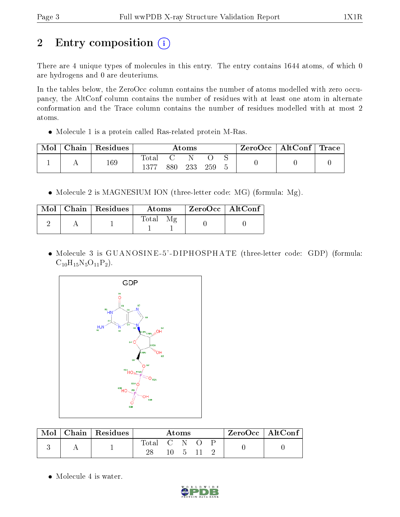# 2 Entry composition (i)

There are 4 unique types of molecules in this entry. The entry contains 1644 atoms, of which 0 are hydrogens and 0 are deuteriums.

In the tables below, the ZeroOcc column contains the number of atoms modelled with zero occupancy, the AltConf column contains the number of residues with at least one atom in alternate conformation and the Trace column contains the number of residues modelled with at most 2 atoms.

Molecule 1 is a protein called Ras-related protein M-Ras.

| Mol | ${\rm Chain}$ | Residues | $\rm{Atoms}$              |     |     | ZeroOcc   AltConf   Trace |  |  |  |
|-----|---------------|----------|---------------------------|-----|-----|---------------------------|--|--|--|
|     |               | 169      | $\tau_{\rm{ota}}$<br>1977 | 880 | 233 | 259                       |  |  |  |

• Molecule 2 is MAGNESIUM ION (three-letter code: MG) (formula: Mg).

|  | $Mol$   Chain   Residues | Atoms                                      | ZeroOcc   AltConf |
|--|--------------------------|--------------------------------------------|-------------------|
|  |                          | $\mathcal{M}_{\mathcal{P}}$<br>$\rm Total$ |                   |

 Molecule 3 is GUANOSINE -5' -DIPHOSPHATE (three-letter code: GDP) (formula:  $C_{10}H_{15}N_5O_{11}P_2$ .



| Mol | Chain   Residues | Atoms        |                   |  |  | $ZeroOcc \mid AltConf$ |  |
|-----|------------------|--------------|-------------------|--|--|------------------------|--|
|     |                  | <b>Total</b> | $\sim$ (1) $\sim$ |  |  |                        |  |

• Molecule 4 is water.

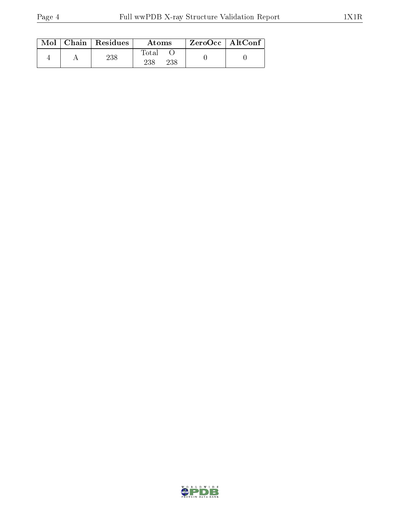|  | $Mol$   Chain   Residues | Atoms               | $ZeroOcc$   AltConf |  |
|--|--------------------------|---------------------|---------------------|--|
|  | 238                      | Total<br>238<br>238 |                     |  |

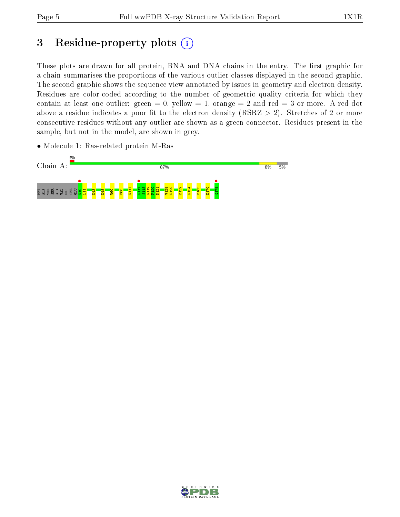# 3 Residue-property plots  $(i)$

These plots are drawn for all protein, RNA and DNA chains in the entry. The first graphic for a chain summarises the proportions of the various outlier classes displayed in the second graphic. The second graphic shows the sequence view annotated by issues in geometry and electron density. Residues are color-coded according to the number of geometric quality criteria for which they contain at least one outlier: green  $= 0$ , yellow  $= 1$ , orange  $= 2$  and red  $= 3$  or more. A red dot above a residue indicates a poor fit to the electron density (RSRZ  $> 2$ ). Stretches of 2 or more consecutive residues without any outlier are shown as a green connector. Residues present in the sample, but not in the model, are shown in grey.



• Molecule 1: Ras-related protein M-Ras

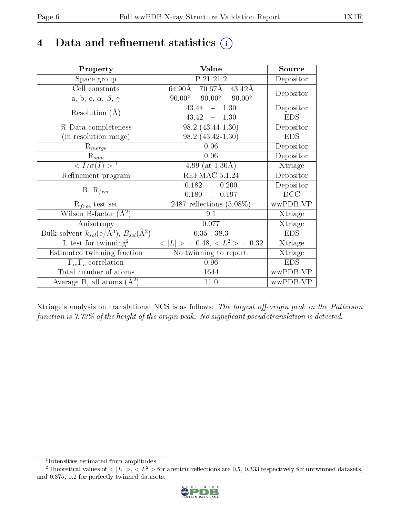## 4 Data and refinement statistics  $(i)$

| Property                                                         | Value                                                       | Source     |
|------------------------------------------------------------------|-------------------------------------------------------------|------------|
| Space group                                                      | P 21 21 2                                                   | Depositor  |
| Cell constants                                                   | $70.67\text{\AA}$<br>$64.90\text{\AA}$<br>$43.42\text{\AA}$ | Depositor  |
| a, b, c, $\alpha$ , $\beta$ , $\gamma$                           | $90.00^\circ$<br>$90.00^\circ$<br>$90.00^\circ$             |            |
| Resolution $(A)$                                                 | $1.3\overline{0}$<br>43.44<br>$\equiv$                      | Depositor  |
|                                                                  | 43.42<br>$-1.30$                                            | <b>EDS</b> |
| % Data completeness                                              | $98.2(43.44-1.30)$                                          | Depositor  |
| (in resolution range)                                            | $98.2(43.42 - 1.30)$                                        | <b>EDS</b> |
| $R_{merge}$                                                      | 0.06                                                        | Depositor  |
| $\mathrm{R}_{sym}$                                               | 0.06                                                        | Depositor  |
| $\langle I/\sigma(I) \rangle^{-1}$                               | 4.99 (at $1.30\text{\AA}$ )                                 | Xtriage    |
| Refinement program                                               | REFMAC 5.1.24                                               | Depositor  |
|                                                                  | 0.182<br>0.200<br>$\mathcal{L}$                             | Depositor  |
| $R, R_{free}$                                                    | 0.180<br>$0.197\,$<br>$\mathbf{A}$                          | DCC        |
| $R_{free}$ test set                                              | $\overline{2487}$ reflections $(5.08\%)$                    | wwPDB-VP   |
| Wilson B-factor $(A^2)$                                          | 9.1                                                         | Xtriage    |
| Anisotropy                                                       | 0.077                                                       | Xtriage    |
| Bulk solvent $k_{sol}(\text{e}/\text{A}^3), B_{sol}(\text{A}^2)$ | $0.35$ , $38.3$                                             | <b>EDS</b> |
| L-test for twinning <sup>2</sup>                                 | $< L >$ = 0.48, $< L2$ = 0.32                               | Xtriage    |
| Estimated twinning fraction                                      | $\overline{\text{No}}$ twinning to report.                  | Xtriage    |
| $F_o, F_c$ correlation                                           | 0.96                                                        | <b>EDS</b> |
| Total number of atoms                                            | 1644                                                        | wwPDB-VP   |
| Average B, all atoms $(A^2)$                                     | 11.0                                                        | wwPDB-VP   |

Xtriage's analysis on translational NCS is as follows: The largest off-origin peak in the Patterson function is  $7.73\%$  of the height of the origin peak. No significant pseudotranslation is detected.

<sup>&</sup>lt;sup>2</sup>Theoretical values of  $\langle |L| \rangle$ ,  $\langle L^2 \rangle$  for acentric reflections are 0.5, 0.333 respectively for untwinned datasets, and 0.375, 0.2 for perfectly twinned datasets.



<span id="page-5-1"></span><span id="page-5-0"></span><sup>1</sup> Intensities estimated from amplitudes.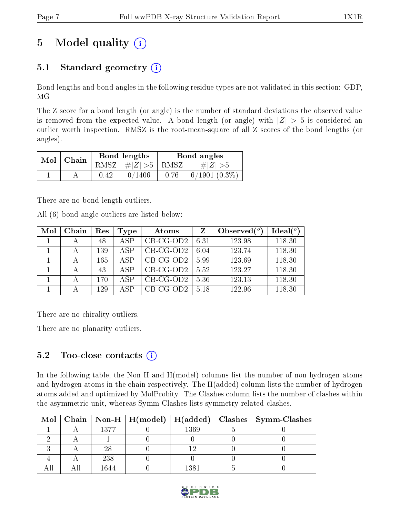# 5 Model quality  $(i)$

## 5.1 Standard geometry  $(i)$

Bond lengths and bond angles in the following residue types are not validated in this section: GDP, MG

The Z score for a bond length (or angle) is the number of standard deviations the observed value is removed from the expected value. A bond length (or angle) with  $|Z| > 5$  is considered an outlier worth inspection. RMSZ is the root-mean-square of all Z scores of the bond lengths (or angles).

| Mol | Chain |      | Bond lengths                   | Bond angles |                 |  |
|-----|-------|------|--------------------------------|-------------|-----------------|--|
|     |       |      | RMSZ $\mid \#Z \mid >5$   RMSZ |             | $\# Z  > 5$     |  |
|     |       | 0.42 | 0/1406                         | 0.76        | $6/1901(0.3\%)$ |  |

There are no bond length outliers.

All (6) bond angle outliers are listed below:

| Mol | Chain | Res | Type | Atoms       | Z    | Observed $(°)$ | Ideal $(°)$ |
|-----|-------|-----|------|-------------|------|----------------|-------------|
|     |       | 48  | ASP  | $CB-CG-OD2$ | 6.31 | 123.98         | 118.30      |
|     |       | 139 | ASP  | $CB-CG-OD2$ | 6.04 | 123.74         | 118.30      |
|     |       | 165 | A SP | $CB-CG-OD2$ | 5.99 | 123.69         | 118.30      |
|     |       | 43  | ASP  | $CB-CG-OD2$ | 5.52 | 123.27         | 118.30      |
|     |       | 170 | A SP | $CB-CG-OD2$ | 5.36 | 123.13         | 118.30      |
|     |       | 129 | A SP | $CB-CG-OD2$ | 5.18 | 122.96         | 118.30      |

There are no chirality outliers.

There are no planarity outliers.

### 5.2 Too-close contacts  $(i)$

In the following table, the Non-H and H(model) columns list the number of non-hydrogen atoms and hydrogen atoms in the chain respectively. The H(added) column lists the number of hydrogen atoms added and optimized by MolProbity. The Clashes column lists the number of clashes within the asymmetric unit, whereas Symm-Clashes lists symmetry related clashes.

| Mol |      |      | Chain   Non-H   H(model)   H(added)   Clashes   Symm-Clashes |
|-----|------|------|--------------------------------------------------------------|
|     | 1377 | 1369 |                                                              |
|     |      |      |                                                              |
|     | 28   |      |                                                              |
|     | 238  |      |                                                              |
|     | 1644 | 1381 |                                                              |

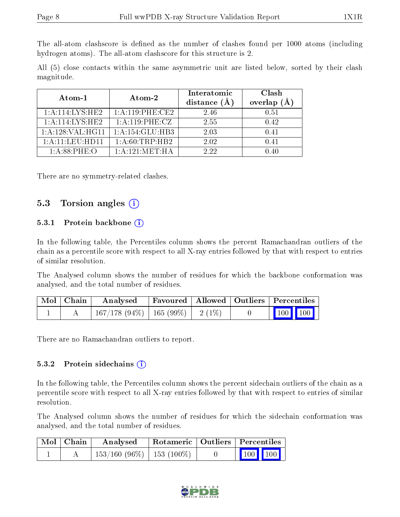The all-atom clashscore is defined as the number of clashes found per 1000 atoms (including hydrogen atoms). The all-atom clashscore for this structure is 2.

All (5) close contacts within the same asymmetric unit are listed below, sorted by their clash magnitude.

| Atom-1                       | Atom-2             | Interatomic<br>distance $(A)$ | Clash<br>overlap<br>(Å |
|------------------------------|--------------------|-------------------------------|------------------------|
| 1: A:114:LYS:HE2             | 1:A:119:PHE:CE2    | 2.46                          | 0.51                   |
| 1: A:114:LYS:HE2             | 1:A:119:PHE:CZ     | 2.55                          | 0.42                   |
| 1:A:128:VAL:H <sub>G11</sub> | 1:A:154:GLU:HB3    | 2.03                          | 0.41                   |
| 1: A:11:LEU:HD11             | 1: A:60:TRP:HB2    | 2.02                          | 0.41                   |
| $1: A.88$ PHE: O             | 1: A: 121: MET: HA | 2.22                          |                        |

There are no symmetry-related clashes.

#### 5.3 Torsion angles (i)

#### 5.3.1 Protein backbone  $(i)$

In the following table, the Percentiles column shows the percent Ramachandran outliers of the chain as a percentile score with respect to all X-ray entries followed by that with respect to entries of similar resolution.

The Analysed column shows the number of residues for which the backbone conformation was analysed, and the total number of residues.

| Mol   Chain | Analysed                                | Favoured   Allowed   Outliers   Percentiles |  |                         |  |
|-------------|-----------------------------------------|---------------------------------------------|--|-------------------------|--|
|             | $167/178$ (94\%)   165 (99\%)   2 (1\%) |                                             |  | $\vert$ 100 100 $\vert$ |  |

There are no Ramachandran outliers to report.

#### 5.3.2 Protein sidechains  $(i)$

In the following table, the Percentiles column shows the percent sidechain outliers of the chain as a percentile score with respect to all X-ray entries followed by that with respect to entries of similar resolution.

The Analysed column shows the number of residues for which the sidechain conformation was analysed, and the total number of residues.

| Mol   Chain | Analysed                                                                           |  | Rotameric   Outliers   Percentiles |  |  |
|-------------|------------------------------------------------------------------------------------|--|------------------------------------|--|--|
|             | $\left[ \begin{array}{c c} 153/160 \ (96\%) & 153 \ (100\%) & \end{array} \right]$ |  | 100 100                            |  |  |

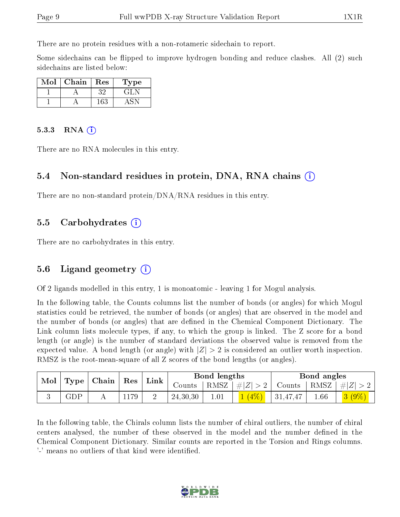There are no protein residues with a non-rotameric sidechain to report.

Some sidechains can be flipped to improve hydrogen bonding and reduce clashes. All (2) such sidechains are listed below:

| Mol | Chain | Res | 'Type  |
|-----|-------|-----|--------|
|     |       | いい  | ا تا ق |
|     |       | -63 |        |

#### 5.3.3 RNA  $(i)$

There are no RNA molecules in this entry.

#### 5.4 Non-standard residues in protein, DNA, RNA chains (i)

There are no non-standard protein/DNA/RNA residues in this entry.

#### 5.5 Carbohydrates (i)

There are no carbohydrates in this entry.

#### 5.6 Ligand geometry  $(i)$

Of 2 ligands modelled in this entry, 1 is monoatomic - leaving 1 for Mogul analysis.

In the following table, the Counts columns list the number of bonds (or angles) for which Mogul statistics could be retrieved, the number of bonds (or angles) that are observed in the model and the number of bonds (or angles) that are defined in the Chemical Component Dictionary. The Link column lists molecule types, if any, to which the group is linked. The Z score for a bond length (or angle) is the number of standard deviations the observed value is removed from the expected value. A bond length (or angle) with  $|Z| > 2$  is considered an outlier worth inspection. RMSZ is the root-mean-square of all Z scores of the bond lengths (or angles).

| Mol | $\top$ Type $\top$ | $\mid$ Chain $\mid$ Res $\mid$ |     | $\mid$ Link $\mid$ |            | Bond lengths |                 |          | Bond angles     |  |
|-----|--------------------|--------------------------------|-----|--------------------|------------|--------------|-----------------|----------|-----------------|--|
|     |                    |                                |     |                    | Jounts :   |              | RMSZ $ #Z  > 2$ | Counts   | $ RMSZ  \#  Z $ |  |
|     | ${\rm GDP}$        |                                | 179 | -                  | 24, 30, 30 | $1.01\,$     |                 | 31,47,47 | 1.66            |  |

In the following table, the Chirals column lists the number of chiral outliers, the number of chiral centers analysed, the number of these observed in the model and the number defined in the Chemical Component Dictionary. Similar counts are reported in the Torsion and Rings columns. '-' means no outliers of that kind were identified.

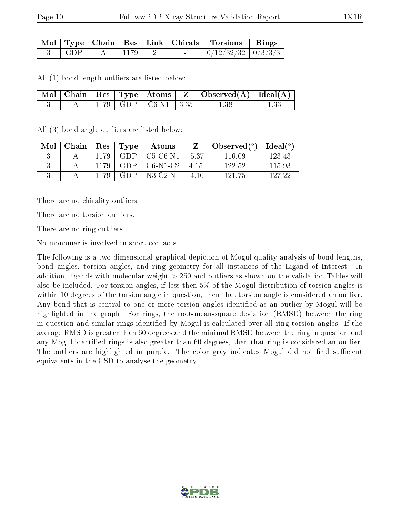|     |      |  | Mol   Type   Chain   Res   Link   Chirals   Torsions   Rings |  |
|-----|------|--|--------------------------------------------------------------|--|
| GDP | 1179 |  | $\mid 0/12/32/32 \mid 0/3/3/3 \mid$                          |  |

All (1) bond length outliers are listed below:

|  |  |                           | $\mid$ Mol $\mid$ Chain $\mid$ Res $\mid$ Type $\mid$ Atoms $\mid$ Z $\mid$ Observed(A) $\mid$ Ideal(A) $\mid$ |      |
|--|--|---------------------------|----------------------------------------------------------------------------------------------------------------|------|
|  |  | 1179   GDP   C6-N1   3.35 |                                                                                                                | 1.33 |

All (3) bond angle outliers are listed below:

| Mol | Chain | Res  | Type       | Atoms       |         | Observed $(°)$ | Ideal $(^\circ)$ |
|-----|-------|------|------------|-------------|---------|----------------|------------------|
|     |       | 1179 | GDP.       | $C5-C6-N1$  | $-5.37$ | 116.09         | 123 43           |
|     |       | 1179 | GDP.       | $C6-N1-C2$  | -4.15   | 122.52         | 115.93           |
|     |       |      | <b>GDP</b> | $N3$ -C2-N1 |         | 121 75         | 197-99           |

There are no chirality outliers.

There are no torsion outliers.

There are no ring outliers.

No monomer is involved in short contacts.

The following is a two-dimensional graphical depiction of Mogul quality analysis of bond lengths, bond angles, torsion angles, and ring geometry for all instances of the Ligand of Interest. In addition, ligands with molecular weight > 250 and outliers as shown on the validation Tables will also be included. For torsion angles, if less then 5% of the Mogul distribution of torsion angles is within 10 degrees of the torsion angle in question, then that torsion angle is considered an outlier. Any bond that is central to one or more torsion angles identified as an outlier by Mogul will be highlighted in the graph. For rings, the root-mean-square deviation (RMSD) between the ring in question and similar rings identified by Mogul is calculated over all ring torsion angles. If the average RMSD is greater than 60 degrees and the minimal RMSD between the ring in question and any Mogul-identified rings is also greater than 60 degrees, then that ring is considered an outlier. The outliers are highlighted in purple. The color gray indicates Mogul did not find sufficient equivalents in the CSD to analyse the geometry.

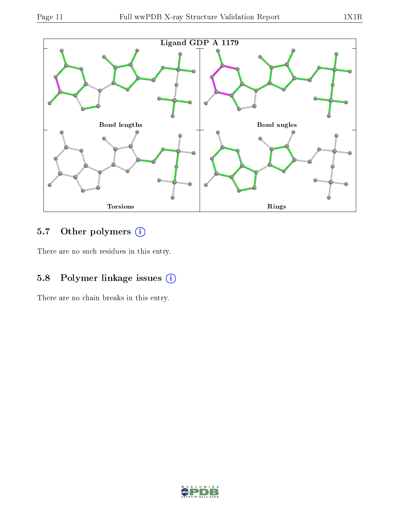

## 5.7 [O](https://www.wwpdb.org/validation/2017/XrayValidationReportHelp#nonstandard_residues_and_ligands)ther polymers (i)

There are no such residues in this entry.

## 5.8 Polymer linkage issues (i)

There are no chain breaks in this entry.

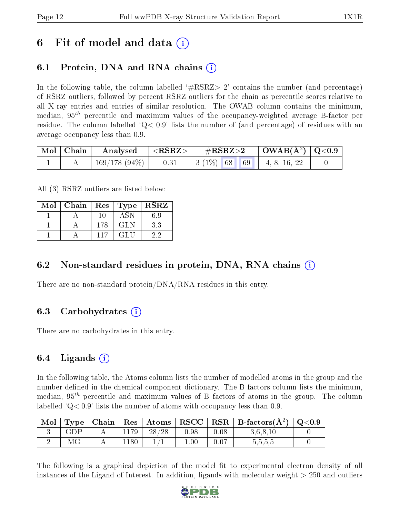## 6 Fit of model and data  $\left( \cdot \right)$

### 6.1 Protein, DNA and RNA chains (i)

In the following table, the column labelled  $#RSRZ> 2'$  contains the number (and percentage) of RSRZ outliers, followed by percent RSRZ outliers for the chain as percentile scores relative to all X-ray entries and entries of similar resolution. The OWAB column contains the minimum, median,  $95<sup>th</sup>$  percentile and maximum values of the occupancy-weighted average B-factor per residue. The column labelled  $Q < 0.9$  lists the number of (and percentage) of residues with an average occupancy less than 0.9.

| Mol   Chain | Analysed        | $^+$ <rsrz> <math>_+</math></rsrz> | $\rm \#RSRZ{>}2$                                         | $\vert$ OWAB( $\rm \AA^2)$ $\vert$ Q<0.9 $\vert$ |  |
|-------------|-----------------|------------------------------------|----------------------------------------------------------|--------------------------------------------------|--|
|             | $169/178(94\%)$ | 0.31                               | $\mid 3 \ (1\%) \ \mid 68 \ \mid 69 \ \mid 4, 8, 16, 22$ |                                                  |  |

All (3) RSRZ outliers are listed below:

| Mol | Chain   Res |     | $\top$ Type | $\mid$ RSRZ |
|-----|-------------|-----|-------------|-------------|
|     |             | -10 | ASN         | 6.9         |
|     |             | 178 | <b>GLN</b>  | 3.3         |
|     |             | 117 | GLU         | 22          |

### 6.2 Non-standard residues in protein, DNA, RNA chains  $(i)$

There are no non-standard protein/DNA/RNA residues in this entry.

### 6.3 Carbohydrates (i)

There are no carbohydrates in this entry.

### 6.4 Ligands  $(i)$

In the following table, the Atoms column lists the number of modelled atoms in the group and the number defined in the chemical component dictionary. The B-factors column lists the minimum, median,  $95<sup>th</sup>$  percentile and maximum values of B factors of atoms in the group. The column labelled  $Q< 0.9$  lists the number of atoms with occupancy less than 0.9.

| Mol |             | Type   Chain |      | $\mid$ Res $\mid$ Atoms $\mid$ |          |      | $ RSCC RSR B-factors(A^2) $ | $\rm{Q}\textcolor{black}{<}0.9$ |
|-----|-------------|--------------|------|--------------------------------|----------|------|-----------------------------|---------------------------------|
|     | ${\rm GDP}$ |              | 1179 | 28/28                          | 0.98     | 0.08 | 3.6,8,10                    |                                 |
|     |             |              | 180  |                                | $1.00\,$ | 0.07 | 5,5,5,5                     |                                 |

The following is a graphical depiction of the model fit to experimental electron density of all instances of the Ligand of Interest. In addition, ligands with molecular weight  $> 250$  and outliers